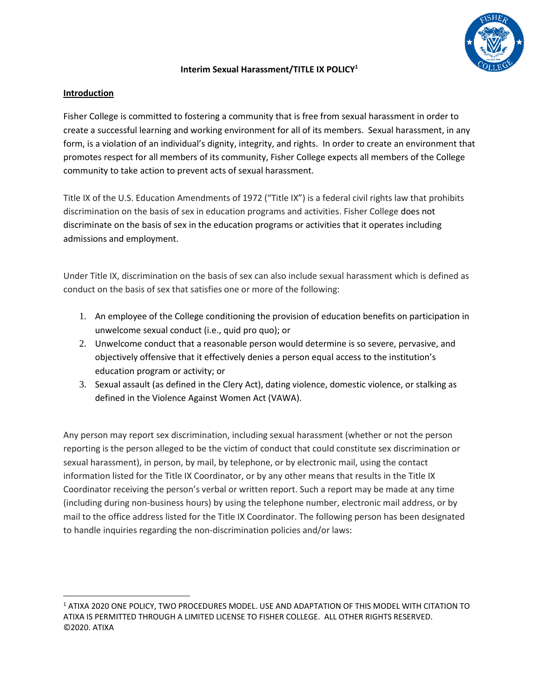

## **Interim Sexual Harassment/TITLE IX POLICY<sup>1</sup>**

## **Introduction**

 $\overline{a}$ 

Fisher College is committed to fostering a community that is free from sexual harassment in order to create a successful learning and working environment for all of its members. Sexual harassment, in any form, is a violation of an individual's dignity, integrity, and rights. In order to create an environment that promotes respect for all members of its community, Fisher College expects all members of the College community to take action to prevent acts of sexual harassment.

Title IX of the U.S. Education Amendments of 1972 ("Title IX") is a federal civil rights law that prohibits discrimination on the basis of sex in education programs and activities. Fisher College does not discriminate on the basis of sex in the education programs or activities that it operates including admissions and employment.

Under Title IX, discrimination on the basis of sex can also include sexual harassment which is defined as conduct on the basis of sex that satisfies one or more of the following:

- 1. An employee of the College conditioning the provision of education benefits on participation in unwelcome sexual conduct (i.e., quid pro quo); or
- 2. Unwelcome conduct that a reasonable person would determine is so severe, pervasive, and objectively offensive that it effectively denies a person equal access to the institution's education program or activity; or
- 3. Sexual assault (as defined in the Clery Act), dating violence, domestic violence, or stalking as defined in the Violence Against Women Act (VAWA).

Any person may report sex discrimination, including sexual harassment (whether or not the person reporting is the person alleged to be the victim of conduct that could constitute sex discrimination or sexual harassment), in person, by mail, by telephone, or by electronic mail, using the contact information listed for the Title IX Coordinator, or by any other means that results in the Title IX Coordinator receiving the person's verbal or written report. Such a report may be made at any time (including during non-business hours) by using the telephone number, electronic mail address, or by mail to the office address listed for the Title IX Coordinator. The following person has been designated to handle inquiries regarding the non-discrimination policies and/or laws:

<sup>1</sup> ATIXA 2020 ONE POLICY, TWO PROCEDURES MODEL. USE AND ADAPTATION OF THIS MODEL WITH CITATION TO ATIXA IS PERMITTED THROUGH A LIMITED LICENSE TO FISHER COLLEGE. ALL OTHER RIGHTS RESERVED. ©2020. ATIXA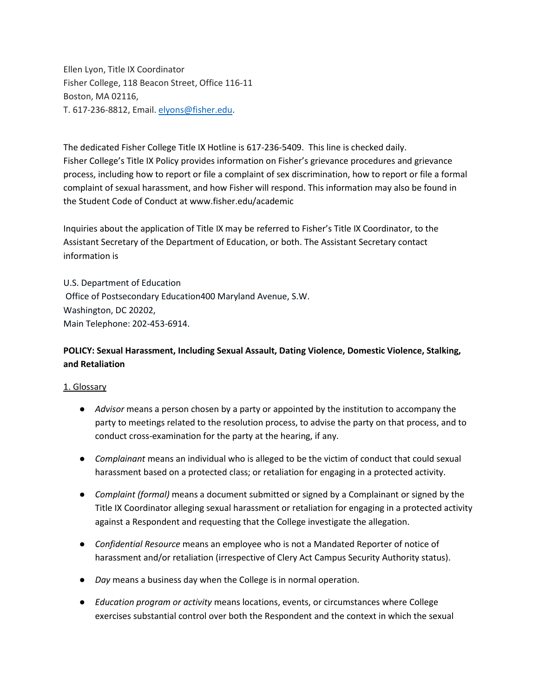Ellen Lyon, Title IX Coordinator Fisher College, 118 Beacon Street, Office 116-11 Boston, MA 02116, T. 617-236-8812, Email. [elyons@fisher.edu.](about:blank)

The dedicated Fisher College Title IX Hotline is 617-236-5409. This line is checked daily. Fisher College's Title IX Policy provides information on Fisher's grievance procedures and grievance process, including how to report or file a complaint of sex discrimination, how to report or file a formal complaint of sexual harassment, and how Fisher will respond. This information may also be found in the Student Code of Conduct at www.fisher.edu/academic

Inquiries about the application of Title IX may be referred to Fisher's Title IX Coordinator, to the Assistant Secretary of the Department of Education, or both. The Assistant Secretary contact information is

U.S. Department of Education Office of Postsecondary Education400 Maryland Avenue, S.W. Washington, DC 20202, Main Telephone: 202-453-6914.

# **POLICY: Sexual Harassment, Including Sexual Assault, Dating Violence, Domestic Violence, Stalking, and Retaliation**

#### 1. Glossary

- *Advisor* means a person chosen by a party or appointed by the institution to accompany the party to meetings related to the resolution process, to advise the party on that process, and to conduct cross-examination for the party at the hearing, if any.
- *Complainant* means an individual who is alleged to be the victim of conduct that could sexual harassment based on a protected class; or retaliation for engaging in a protected activity.
- *Complaint (formal)* means a document submitted or signed by a Complainant or signed by the Title IX Coordinator alleging sexual harassment or retaliation for engaging in a protected activity against a Respondent and requesting that the College investigate the allegation.
- *Confidential Resource* means an employee who is not a Mandated Reporter of notice of harassment and/or retaliation (irrespective of Clery Act Campus Security Authority status).
- *Day* means a business day when the College is in normal operation.
- *Education program or activity* means locations, events, or circumstances where College exercises substantial control over both the Respondent and the context in which the sexual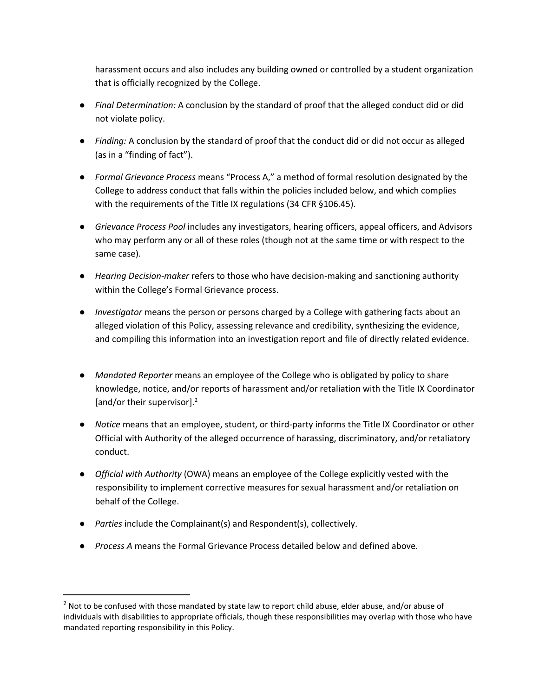harassment occurs and also includes any building owned or controlled by a student organization that is officially recognized by the College.

- *Final Determination:* A conclusion by the standard of proof that the alleged conduct did or did not violate policy.
- *Finding:* A conclusion by the standard of proof that the conduct did or did not occur as alleged (as in a "finding of fact").
- *Formal Grievance Process* means "Process A," a method of formal resolution designated by the College to address conduct that falls within the policies included below, and which complies with the requirements of the Title IX regulations (34 CFR §106.45).
- *Grievance Process Pool* includes any investigators, hearing officers, appeal officers, and Advisors who may perform any or all of these roles (though not at the same time or with respect to the same case).
- *Hearing Decision-maker* refers to those who have decision-making and sanctioning authority within the College's Formal Grievance process.
- *Investigator* means the person or persons charged by a College with gathering facts about an alleged violation of this Policy, assessing relevance and credibility, synthesizing the evidence, and compiling this information into an investigation report and file of directly related evidence.
- *Mandated Reporter* means an employee of the College who is obligated by policy to share knowledge, notice, and/or reports of harassment and/or retaliation with the Title IX Coordinator [and/or their supervisor].<sup>2</sup>
- *Notice* means that an employee, student, or third-party informs the Title IX Coordinator or other Official with Authority of the alleged occurrence of harassing, discriminatory, and/or retaliatory conduct.
- *Official with Authority* (OWA) means an employee of the College explicitly vested with the responsibility to implement corrective measures for sexual harassment and/or retaliation on behalf of the College.
- *Parties* include the Complainant(s) and Respondent(s), collectively.

 $\overline{\phantom{a}}$ 

● *Process A* means the Formal Grievance Process detailed below and defined above.

<sup>&</sup>lt;sup>2</sup> Not to be confused with those mandated by state law to report child abuse, elder abuse, and/or abuse of individuals with disabilities to appropriate officials, though these responsibilities may overlap with those who have mandated reporting responsibility in this Policy.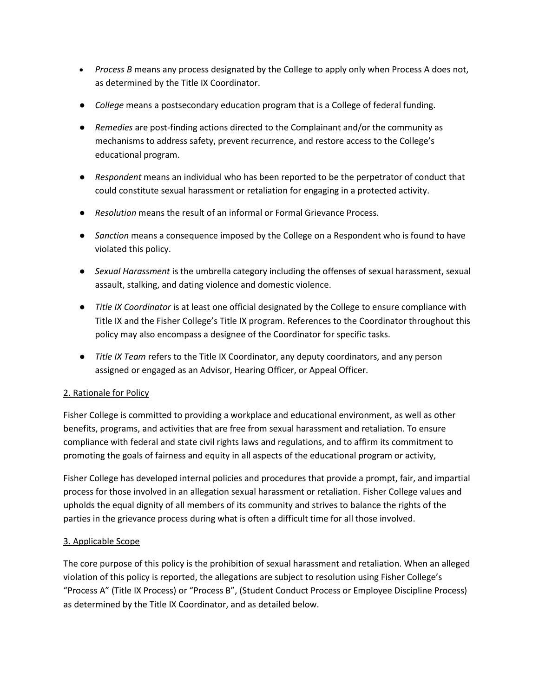- *Process B* means any process designated by the College to apply only when Process A does not, as determined by the Title IX Coordinator.
- *College* means a postsecondary education program that is a College of federal funding.
- *Remedies* are post-finding actions directed to the Complainant and/or the community as mechanisms to address safety, prevent recurrence, and restore access to the College's educational program.
- *Respondent* means an individual who has been reported to be the perpetrator of conduct that could constitute sexual harassment or retaliation for engaging in a protected activity.
- *Resolution* means the result of an informal or Formal Grievance Process.
- *Sanction* means a consequence imposed by the College on a Respondent who is found to have violated this policy.
- *Sexual Harassment* is the umbrella category including the offenses of sexual harassment, sexual assault, stalking, and dating violence and domestic violence.
- *Title IX Coordinator* is at least one official designated by the College to ensure compliance with Title IX and the Fisher College's Title IX program. References to the Coordinator throughout this policy may also encompass a designee of the Coordinator for specific tasks.
- *Title IX Team* refers to the Title IX Coordinator, any deputy coordinators, and any person assigned or engaged as an Advisor, Hearing Officer, or Appeal Officer.

## 2. Rationale for Policy

Fisher College is committed to providing a workplace and educational environment, as well as other benefits, programs, and activities that are free from sexual harassment and retaliation. To ensure compliance with federal and state civil rights laws and regulations, and to affirm its commitment to promoting the goals of fairness and equity in all aspects of the educational program or activity,

Fisher College has developed internal policies and procedures that provide a prompt, fair, and impartial process for those involved in an allegation sexual harassment or retaliation. Fisher College values and upholds the equal dignity of all members of its community and strives to balance the rights of the parties in the grievance process during what is often a difficult time for all those involved.

#### 3. Applicable Scope

The core purpose of this policy is the prohibition of sexual harassment and retaliation. When an alleged violation of this policy is reported, the allegations are subject to resolution using Fisher College's "Process A" (Title IX Process) or "Process B", (Student Conduct Process or Employee Discipline Process) as determined by the Title IX Coordinator, and as detailed below.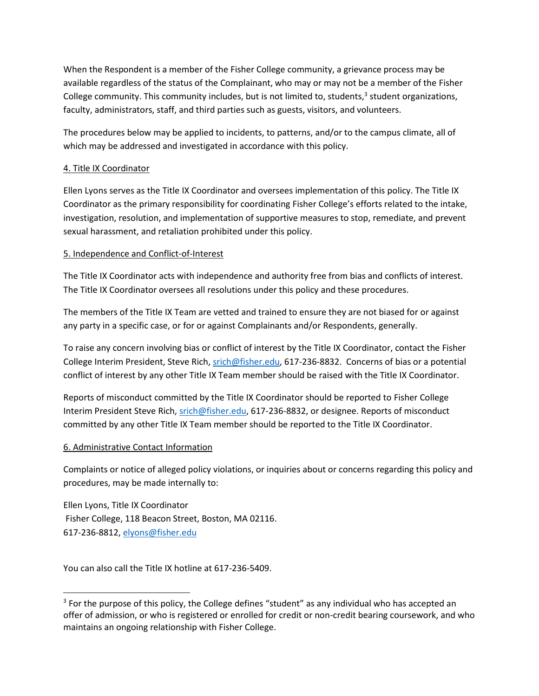When the Respondent is a member of the Fisher College community, a grievance process may be available regardless of the status of the Complainant, who may or may not be a member of the Fisher College community. This community includes, but is not limited to, students,<sup>3</sup> student organizations, faculty, administrators, staff, and third parties such as guests, visitors, and volunteers.

The procedures below may be applied to incidents, to patterns, and/or to the campus climate, all of which may be addressed and investigated in accordance with this policy.

#### 4. Title IX Coordinator

Ellen Lyons serves as the Title IX Coordinator and oversees implementation of this policy. The Title IX Coordinator as the primary responsibility for coordinating Fisher College's efforts related to the intake, investigation, resolution, and implementation of supportive measures to stop, remediate, and prevent sexual harassment, and retaliation prohibited under this policy.

#### 5. Independence and Conflict-of-Interest

The Title IX Coordinator acts with independence and authority free from bias and conflicts of interest. The Title IX Coordinator oversees all resolutions under this policy and these procedures.

The members of the Title IX Team are vetted and trained to ensure they are not biased for or against any party in a specific case, or for or against Complainants and/or Respondents, generally.

To raise any concern involving bias or conflict of interest by the Title IX Coordinator, contact the Fisher College Interim President, Steve Rich[, srich@fisher.edu,](about:blank) 617-236-8832. Concerns of bias or a potential conflict of interest by any other Title IX Team member should be raised with the Title IX Coordinator.

Reports of misconduct committed by the Title IX Coordinator should be reported to Fisher College Interim President Steve Rich[, srich@fisher.edu,](about:blank) 617-236-8832, or designee. Reports of misconduct committed by any other Title IX Team member should be reported to the Title IX Coordinator.

#### 6. Administrative Contact Information

 $\overline{a}$ 

Complaints or notice of alleged policy violations, or inquiries about or concerns regarding this policy and procedures, may be made internally to:

Ellen Lyons, Title IX Coordinator Fisher College, 118 Beacon Street, Boston, MA 02116. 617-236-8812[, elyons@fisher.edu](about:blank)

You can also call the Title IX hotline at 617-236-5409.

 $3$  For the purpose of this policy, the College defines "student" as any individual who has accepted an offer of admission, or who is registered or enrolled for credit or non-credit bearing coursework, and who maintains an ongoing relationship with Fisher College.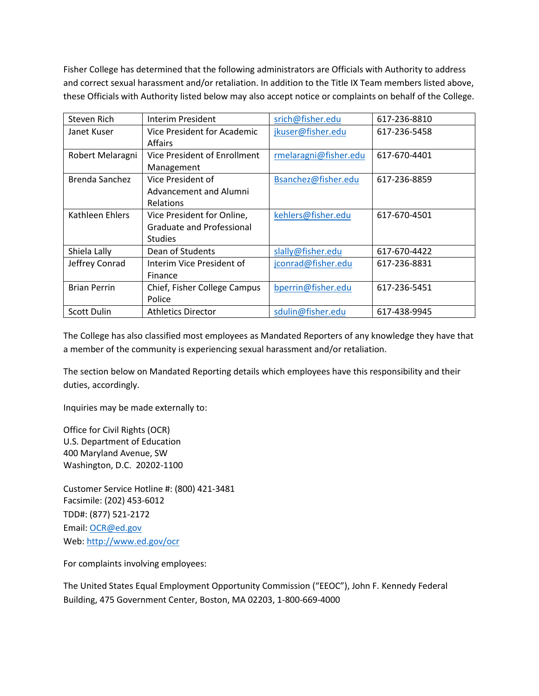Fisher College has determined that the following administrators are Officials with Authority to address and correct sexual harassment and/or retaliation. In addition to the Title IX Team members listed above, these Officials with Authority listed below may also accept notice or complaints on behalf of the College.

| Steven Rich         | Interim President                | srich@fisher.edu      | 617-236-8810 |
|---------------------|----------------------------------|-----------------------|--------------|
| Janet Kuser         | Vice President for Academic      | jkuser@fisher.edu     | 617-236-5458 |
|                     | <b>Affairs</b>                   |                       |              |
| Robert Melaragni    | Vice President of Enrollment     | rmelaragni@fisher.edu | 617-670-4401 |
|                     | Management                       |                       |              |
| Brenda Sanchez      | Vice President of                | Bsanchez@fisher.edu   | 617-236-8859 |
|                     | Advancement and Alumni           |                       |              |
|                     | <b>Relations</b>                 |                       |              |
| Kathleen Ehlers     | Vice President for Online,       | kehlers@fisher.edu    | 617-670-4501 |
|                     | <b>Graduate and Professional</b> |                       |              |
|                     | <b>Studies</b>                   |                       |              |
| Shiela Lally        | Dean of Students                 | slally@fisher.edu     | 617-670-4422 |
| Jeffrey Conrad      | Interim Vice President of        | jconrad@fisher.edu    | 617-236-8831 |
|                     | Finance                          |                       |              |
| <b>Brian Perrin</b> | Chief, Fisher College Campus     | bperrin@fisher.edu    | 617-236-5451 |
|                     | Police                           |                       |              |
| <b>Scott Dulin</b>  | <b>Athletics Director</b>        | sdulin@fisher.edu     | 617-438-9945 |

The College has also classified most employees as Mandated Reporters of any knowledge they have that a member of the community is experiencing sexual harassment and/or retaliation.

The section below on Mandated Reporting details which employees have this responsibility and their duties, accordingly.

Inquiries may be made externally to:

Office for Civil Rights (OCR) U.S. Department of Education 400 Maryland Avenue, SW Washington, D.C. 20202-1100

Customer Service Hotline #: (800) 421-3481 Facsimile: (202) 453-6012 TDD#: (877) 521-2172 Email: [OCR@ed.gov](about:blank) Web: [http://www.ed.gov/ocr](about:blank)

For complaints involving employees:

The United States Equal Employment Opportunity Commission ("EEOC"), John F. Kennedy Federal Building, 475 Government Center, Boston, MA 02203, 1-800-669-4000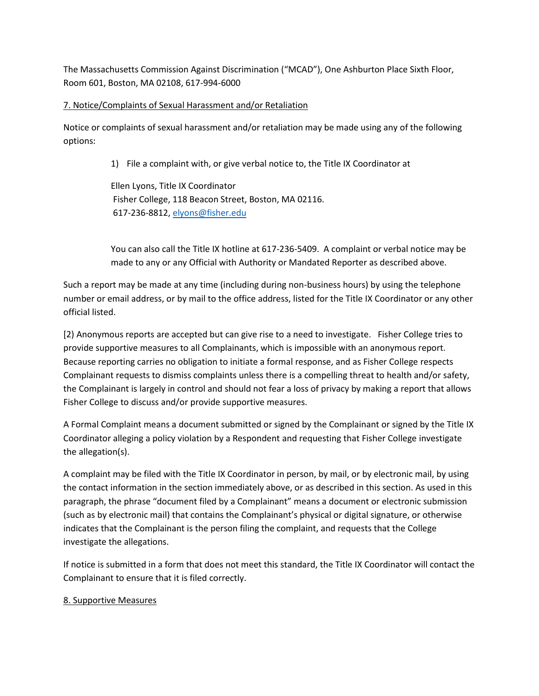The Massachusetts Commission Against Discrimination ("MCAD"), One Ashburton Place Sixth Floor, Room 601, Boston, MA 02108, 617-994-6000

### 7. Notice/Complaints of Sexual Harassment and/or Retaliation

Notice or complaints of sexual harassment and/or retaliation may be made using any of the following options:

1) File a complaint with, or give verbal notice to, the Title IX Coordinator at

Ellen Lyons, Title IX Coordinator Fisher College, 118 Beacon Street, Boston, MA 02116. 617-236-8812, [elyons@fisher.edu](about:blank)

You can also call the Title IX hotline at 617-236-5409. A complaint or verbal notice may be made to any or any Official with Authority or Mandated Reporter as described above.

Such a report may be made at any time (including during non-business hours) by using the telephone number or email address, or by mail to the office address, listed for the Title IX Coordinator or any other official listed.

[2) Anonymous reports are accepted but can give rise to a need to investigate. Fisher College tries to provide supportive measures to all Complainants, which is impossible with an anonymous report. Because reporting carries no obligation to initiate a formal response, and as Fisher College respects Complainant requests to dismiss complaints unless there is a compelling threat to health and/or safety, the Complainant is largely in control and should not fear a loss of privacy by making a report that allows Fisher College to discuss and/or provide supportive measures.

A Formal Complaint means a document submitted or signed by the Complainant or signed by the Title IX Coordinator alleging a policy violation by a Respondent and requesting that Fisher College investigate the allegation(s).

A complaint may be filed with the Title IX Coordinator in person, by mail, or by electronic mail, by using the contact information in the section immediately above, or as described in this section. As used in this paragraph, the phrase "document filed by a Complainant" means a document or electronic submission (such as by electronic mail) that contains the Complainant's physical or digital signature, or otherwise indicates that the Complainant is the person filing the complaint, and requests that the College investigate the allegations.

If notice is submitted in a form that does not meet this standard, the Title IX Coordinator will contact the Complainant to ensure that it is filed correctly.

#### 8. Supportive Measures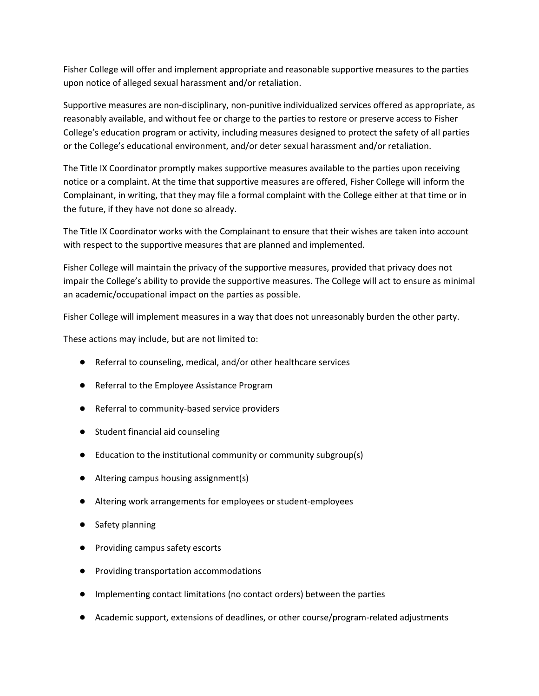Fisher College will offer and implement appropriate and reasonable supportive measures to the parties upon notice of alleged sexual harassment and/or retaliation.

Supportive measures are non-disciplinary, non-punitive individualized services offered as appropriate, as reasonably available, and without fee or charge to the parties to restore or preserve access to Fisher College's education program or activity, including measures designed to protect the safety of all parties or the College's educational environment, and/or deter sexual harassment and/or retaliation.

The Title IX Coordinator promptly makes supportive measures available to the parties upon receiving notice or a complaint. At the time that supportive measures are offered, Fisher College will inform the Complainant, in writing, that they may file a formal complaint with the College either at that time or in the future, if they have not done so already.

The Title IX Coordinator works with the Complainant to ensure that their wishes are taken into account with respect to the supportive measures that are planned and implemented.

Fisher College will maintain the privacy of the supportive measures, provided that privacy does not impair the College's ability to provide the supportive measures. The College will act to ensure as minimal an academic/occupational impact on the parties as possible.

Fisher College will implement measures in a way that does not unreasonably burden the other party.

These actions may include, but are not limited to:

- Referral to counseling, medical, and/or other healthcare services
- Referral to the Employee Assistance Program
- Referral to community-based service providers
- Student financial aid counseling
- Education to the institutional community or community subgroup(s)
- Altering campus housing assignment(s)
- Altering work arrangements for employees or student-employees
- Safety planning
- Providing campus safety escorts
- Providing transportation accommodations
- Implementing contact limitations (no contact orders) between the parties
- Academic support, extensions of deadlines, or other course/program-related adjustments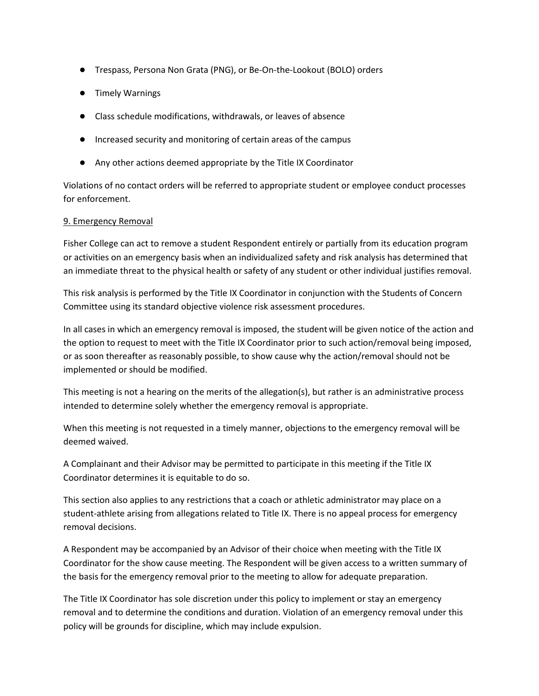- Trespass, Persona Non Grata (PNG), or Be-On-the-Lookout (BOLO) orders
- Timely Warnings
- Class schedule modifications, withdrawals, or leaves of absence
- Increased security and monitoring of certain areas of the campus
- Any other actions deemed appropriate by the Title IX Coordinator

Violations of no contact orders will be referred to appropriate student or employee conduct processes for enforcement.

#### 9. Emergency Removal

Fisher College can act to remove a student Respondent entirely or partially from its education program or activities on an emergency basis when an individualized safety and risk analysis has determined that an immediate threat to the physical health or safety of any student or other individual justifies removal.

This risk analysis is performed by the Title IX Coordinator in conjunction with the Students of Concern Committee using its standard objective violence risk assessment procedures.

In all cases in which an emergency removal is imposed, the studentwill be given notice of the action and the option to request to meet with the Title IX Coordinator prior to such action/removal being imposed, or as soon thereafter as reasonably possible, to show cause why the action/removal should not be implemented or should be modified.

This meeting is not a hearing on the merits of the allegation(s), but rather is an administrative process intended to determine solely whether the emergency removal is appropriate.

When this meeting is not requested in a timely manner, objections to the emergency removal will be deemed waived.

A Complainant and their Advisor may be permitted to participate in this meeting if the Title IX Coordinator determines it is equitable to do so.

This section also applies to any restrictions that a coach or athletic administrator may place on a student-athlete arising from allegations related to Title IX. There is no appeal process for emergency removal decisions.

A Respondent may be accompanied by an Advisor of their choice when meeting with the Title IX Coordinator for the show cause meeting. The Respondent will be given access to a written summary of the basis for the emergency removal prior to the meeting to allow for adequate preparation.

The Title IX Coordinator has sole discretion under this policy to implement or stay an emergency removal and to determine the conditions and duration. Violation of an emergency removal under this policy will be grounds for discipline, which may include expulsion.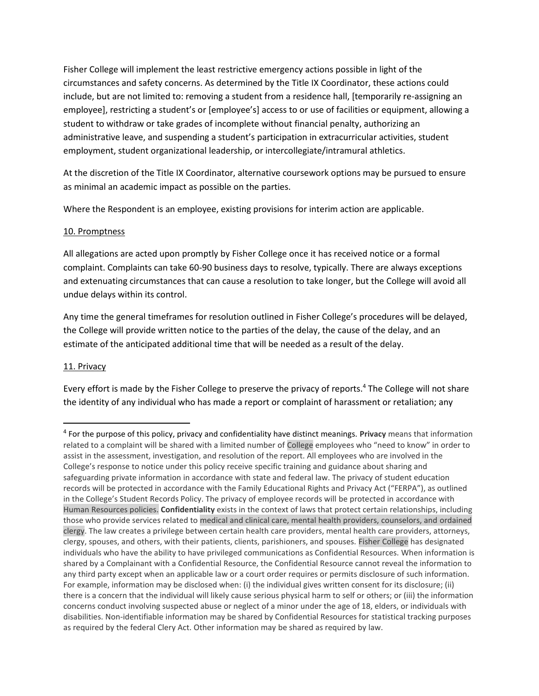Fisher College will implement the least restrictive emergency actions possible in light of the circumstances and safety concerns. As determined by the Title IX Coordinator, these actions could include, but are not limited to: removing a student from a residence hall, [temporarily re-assigning an employee], restricting a student's or [employee's] access to or use of facilities or equipment, allowing a student to withdraw or take grades of incomplete without financial penalty, authorizing an administrative leave, and suspending a student's participation in extracurricular activities, student employment, student organizational leadership, or intercollegiate/intramural athletics.

At the discretion of the Title IX Coordinator, alternative coursework options may be pursued to ensure as minimal an academic impact as possible on the parties.

Where the Respondent is an employee, existing provisions for interim action are applicable.

#### 10. Promptness

All allegations are acted upon promptly by Fisher College once it has received notice or a formal complaint. Complaints can take 60-90 business days to resolve, typically. There are always exceptions and extenuating circumstances that can cause a resolution to take longer, but the College will avoid all undue delays within its control.

Any time the general timeframes for resolution outlined in Fisher College's procedures will be delayed, the College will provide written notice to the parties of the delay, the cause of the delay, and an estimate of the anticipated additional time that will be needed as a result of the delay.

## 11. Privacy

 $\overline{\phantom{a}}$ 

Every effort is made by the Fisher College to preserve the privacy of reports.<sup>4</sup> The College will not share the identity of any individual who has made a report or complaint of harassment or retaliation; any

<sup>4</sup> For the purpose of this policy, privacy and confidentiality have distinct meanings. **Privacy** means that information related to a complaint will be shared with a limited number of College employees who "need to know" in order to assist in the assessment, investigation, and resolution of the report. All employees who are involved in the College's response to notice under this policy receive specific training and guidance about sharing and safeguarding private information in accordance with state and federal law. The privacy of student education records will be protected in accordance with the Family Educational Rights and Privacy Act ("FERPA"), as outlined in the College's Student Records Policy. The privacy of employee records will be protected in accordance with Human Resources policies. **Confidentiality** exists in the context of laws that protect certain relationships, including those who provide services related to medical and clinical care, mental health providers, counselors, and ordained clergy. The law creates a privilege between certain health care providers, mental health care providers, attorneys, clergy, spouses, and others, with their patients, clients, parishioners, and spouses. Fisher College has designated individuals who have the ability to have privileged communications as Confidential Resources. When information is shared by a Complainant with a Confidential Resource, the Confidential Resource cannot reveal the information to any third party except when an applicable law or a court order requires or permits disclosure of such information. For example, information may be disclosed when: (i) the individual gives written consent for its disclosure; (ii) there is a concern that the individual will likely cause serious physical harm to self or others; or (iii) the information concerns conduct involving suspected abuse or neglect of a minor under the age of 18, elders, or individuals with disabilities. Non-identifiable information may be shared by Confidential Resources for statistical tracking purposes as required by the federal Clery Act. Other information may be shared as required by law.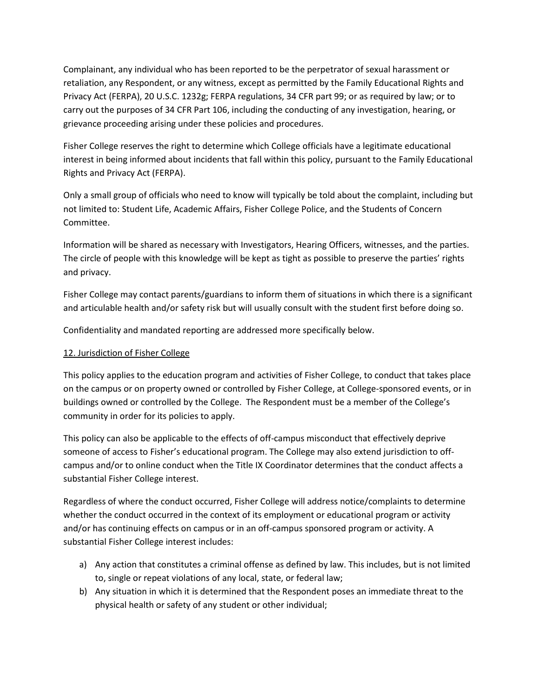Complainant, any individual who has been reported to be the perpetrator of sexual harassment or retaliation, any Respondent, or any witness, except as permitted by the Family Educational Rights and Privacy Act (FERPA), 20 U.S.C. 1232g; FERPA regulations, 34 CFR part 99; or as required by law; or to carry out the purposes of 34 CFR Part 106, including the conducting of any investigation, hearing, or grievance proceeding arising under these policies and procedures.

Fisher College reserves the right to determine which College officials have a legitimate educational interest in being informed about incidents that fall within this policy, pursuant to the Family Educational Rights and Privacy Act (FERPA).

Only a small group of officials who need to know will typically be told about the complaint, including but not limited to: Student Life, Academic Affairs, Fisher College Police, and the Students of Concern Committee.

Information will be shared as necessary with Investigators, Hearing Officers, witnesses, and the parties. The circle of people with this knowledge will be kept as tight as possible to preserve the parties' rights and privacy.

Fisher College may contact parents/guardians to inform them of situations in which there is a significant and articulable health and/or safety risk but will usually consult with the student first before doing so.

Confidentiality and mandated reporting are addressed more specifically below.

### 12. Jurisdiction of Fisher College

This policy applies to the education program and activities of Fisher College, to conduct that takes place on the campus or on property owned or controlled by Fisher College, at College-sponsored events, or in buildings owned or controlled by the College. The Respondent must be a member of the College's community in order for its policies to apply.

This policy can also be applicable to the effects of off-campus misconduct that effectively deprive someone of access to Fisher's educational program. The College may also extend jurisdiction to offcampus and/or to online conduct when the Title IX Coordinator determines that the conduct affects a substantial Fisher College interest.

Regardless of where the conduct occurred, Fisher College will address notice/complaints to determine whether the conduct occurred in the context of its employment or educational program or activity and/or has continuing effects on campus or in an off-campus sponsored program or activity. A substantial Fisher College interest includes:

- a) Any action that constitutes a criminal offense as defined by law. This includes, but is not limited to, single or repeat violations of any local, state, or federal law;
- b) Any situation in which it is determined that the Respondent poses an immediate threat to the physical health or safety of any student or other individual;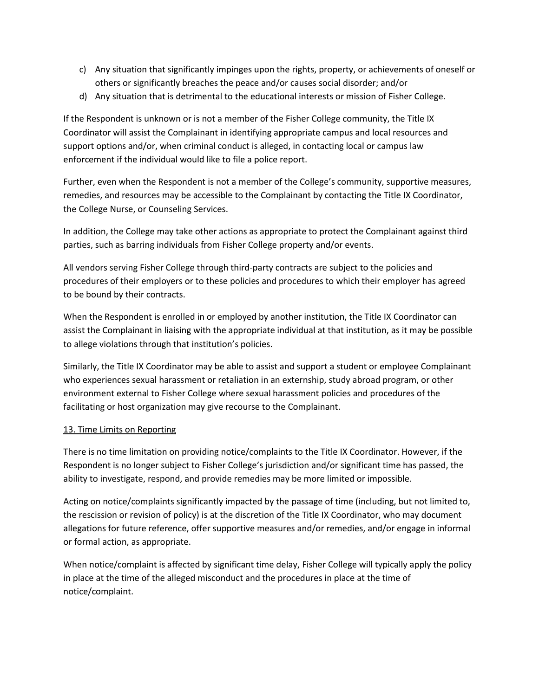- c) Any situation that significantly impinges upon the rights, property, or achievements of oneself or others or significantly breaches the peace and/or causes social disorder; and/or
- d) Any situation that is detrimental to the educational interests or mission of Fisher College.

If the Respondent is unknown or is not a member of the Fisher College community, the Title IX Coordinator will assist the Complainant in identifying appropriate campus and local resources and support options and/or, when criminal conduct is alleged, in contacting local or campus law enforcement if the individual would like to file a police report.

Further, even when the Respondent is not a member of the College's community, supportive measures, remedies, and resources may be accessible to the Complainant by contacting the Title IX Coordinator, the College Nurse, or Counseling Services.

In addition, the College may take other actions as appropriate to protect the Complainant against third parties, such as barring individuals from Fisher College property and/or events.

All vendors serving Fisher College through third-party contracts are subject to the policies and procedures of their employers or to these policies and procedures to which their employer has agreed to be bound by their contracts.

When the Respondent is enrolled in or employed by another institution, the Title IX Coordinator can assist the Complainant in liaising with the appropriate individual at that institution, as it may be possible to allege violations through that institution's policies.

Similarly, the Title IX Coordinator may be able to assist and support a student or employee Complainant who experiences sexual harassment or retaliation in an externship, study abroad program, or other environment external to Fisher College where sexual harassment policies and procedures of the facilitating or host organization may give recourse to the Complainant.

## 13. Time Limits on Reporting

There is no time limitation on providing notice/complaints to the Title IX Coordinator. However, if the Respondent is no longer subject to Fisher College's jurisdiction and/or significant time has passed, the ability to investigate, respond, and provide remedies may be more limited or impossible.

Acting on notice/complaints significantly impacted by the passage of time (including, but not limited to, the rescission or revision of policy) is at the discretion of the Title IX Coordinator, who may document allegations for future reference, offer supportive measures and/or remedies, and/or engage in informal or formal action, as appropriate.

When notice/complaint is affected by significant time delay, Fisher College will typically apply the policy in place at the time of the alleged misconduct and the procedures in place at the time of notice/complaint.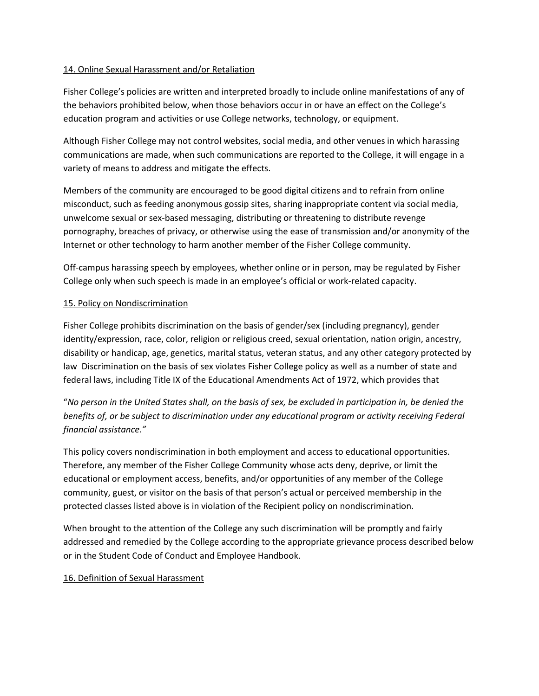#### 14. Online Sexual Harassment and/or Retaliation

Fisher College's policies are written and interpreted broadly to include online manifestations of any of the behaviors prohibited below, when those behaviors occur in or have an effect on the College's education program and activities or use College networks, technology, or equipment.

Although Fisher College may not control websites, social media, and other venues in which harassing communications are made, when such communications are reported to the College, it will engage in a variety of means to address and mitigate the effects.

Members of the community are encouraged to be good digital citizens and to refrain from online misconduct, such as feeding anonymous gossip sites, sharing inappropriate content via social media, unwelcome sexual or sex-based messaging, distributing or threatening to distribute revenge pornography, breaches of privacy, or otherwise using the ease of transmission and/or anonymity of the Internet or other technology to harm another member of the Fisher College community.

Off-campus harassing speech by employees, whether online or in person, may be regulated by Fisher College only when such speech is made in an employee's official or work-related capacity.

#### 15. Policy on Nondiscrimination

Fisher College prohibits discrimination on the basis of gender/sex (including pregnancy), gender identity/expression, race, color, religion or religious creed, sexual orientation, nation origin, ancestry, disability or handicap, age, genetics, marital status, veteran status, and any other category protected by law Discrimination on the basis of sex violates Fisher College policy as well as a number of state and federal laws, including Title IX of the Educational Amendments Act of 1972, which provides that

"*No person in the United States shall, on the basis of sex, be excluded in participation in, be denied the benefits of, or be subject to discrimination under any educational program or activity receiving Federal financial assistance."*

This policy covers nondiscrimination in both employment and access to educational opportunities. Therefore, any member of the Fisher College Community whose acts deny, deprive, or limit the educational or employment access, benefits, and/or opportunities of any member of the College community, guest, or visitor on the basis of that person's actual or perceived membership in the protected classes listed above is in violation of the Recipient policy on nondiscrimination.

When brought to the attention of the College any such discrimination will be promptly and fairly addressed and remedied by the College according to the appropriate grievance process described below or in the Student Code of Conduct and Employee Handbook.

## 16. Definition of Sexual Harassment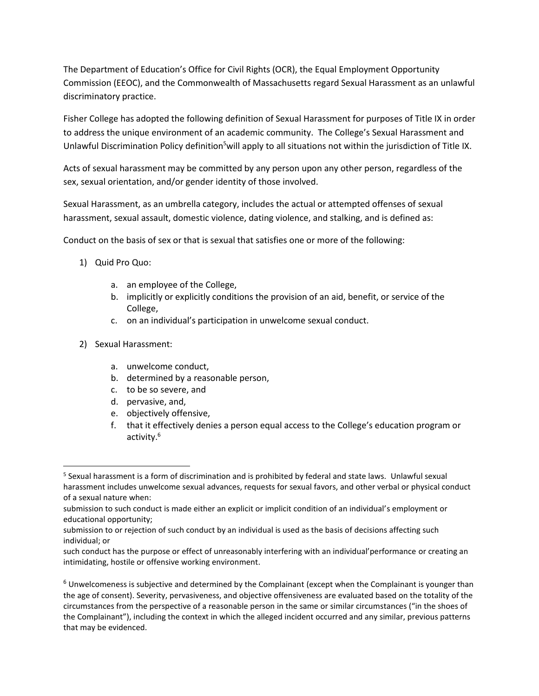The Department of Education's Office for Civil Rights (OCR), the Equal Employment Opportunity Commission (EEOC), and the Commonwealth of Massachusetts regard Sexual Harassment as an unlawful discriminatory practice.

Fisher College has adopted the following definition of Sexual Harassment for purposes of Title IX in order to address the unique environment of an academic community. The College's Sexual Harassment and Unlawful Discrimination Policy definition<sup>5</sup>will apply to all situations not within the jurisdiction of Title IX.

Acts of sexual harassment may be committed by any person upon any other person, regardless of the sex, sexual orientation, and/or gender identity of those involved.

Sexual Harassment, as an umbrella category, includes the actual or attempted offenses of sexual harassment, sexual assault, domestic violence, dating violence, and stalking, and is defined as:

Conduct on the basis of sex or that is sexual that satisfies one or more of the following:

- 1) Quid Pro Quo:
	- a. an employee of the College,
	- b. implicitly or explicitly conditions the provision of an aid, benefit, or service of the College,
	- c. on an individual's participation in unwelcome sexual conduct.
- 2) Sexual Harassment:

 $\overline{a}$ 

- a. unwelcome conduct,
- b. determined by a reasonable person,
- c. to be so severe, and
- d. pervasive, and,
- e. objectively offensive,
- f. that it effectively denies a person equal access to the College's education program or activity.<sup>6</sup>

<sup>&</sup>lt;sup>5</sup> Sexual harassment is a form of discrimination and is prohibited by federal and state laws. Unlawful sexual harassment includes unwelcome sexual advances, requests for sexual favors, and other verbal or physical conduct of a sexual nature when:

submission to such conduct is made either an explicit or implicit condition of an individual's employment or educational opportunity;

submission to or rejection of such conduct by an individual is used as the basis of decisions affecting such individual; or

such conduct has the purpose or effect of unreasonably interfering with an individual'performance or creating an intimidating, hostile or offensive working environment.

 $6$  Unwelcomeness is subjective and determined by the Complainant (except when the Complainant is younger than the age of consent). Severity, pervasiveness, and objective offensiveness are evaluated based on the totality of the circumstances from the perspective of a reasonable person in the same or similar circumstances ("in the shoes of the Complainant"), including the context in which the alleged incident occurred and any similar, previous patterns that may be evidenced.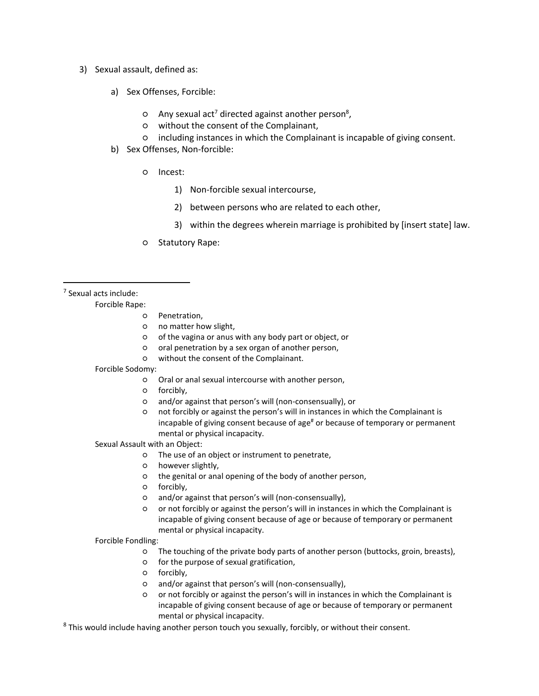- 3) Sexual assault, defined as:
	- a) Sex Offenses, Forcible:
		- $\circ$  Any sexual act<sup>7</sup> directed against another person<sup>8</sup>,
		- without the consent of the Complainant,
		- including instances in which the Complainant is incapable of giving consent.
	- b) Sex Offenses, Non-forcible:
		- Incest:
			- 1) Non-forcible sexual intercourse,
			- 2) between persons who are related to each other,
			- 3) within the degrees wherein marriage is prohibited by [insert state] law.
		- Statutory Rape:

<sup>7</sup> Sexual acts include:

 $\overline{a}$ 

- Forcible Rape:
	- Penetration,
	- no matter how slight,
	- of the vagina or anus with any body part or object, or
	- oral penetration by a sex organ of another person,
	- without the consent of the Complainant.
- Forcible Sodomy:
	- Oral or anal sexual intercourse with another person,
	- forcibly,
		- and/or against that person's will (non-consensually), or
		- not forcibly or against the person's will in instances in which the Complainant is incapable of giving consent because of age<sup>#</sup> or because of temporary or permanent mental or physical incapacity.
- Sexual Assault with an Object:
	- The use of an object or instrument to penetrate,
	- however slightly,
	- the genital or anal opening of the body of another person,
	- forcibly,
	- and/or against that person's will (non-consensually),
	- or not forcibly or against the person's will in instances in which the Complainant is incapable of giving consent because of age or because of temporary or permanent mental or physical incapacity.

Forcible Fondling:

- The touching of the private body parts of another person (buttocks, groin, breasts),
- for the purpose of sexual gratification,
- forcibly,
- and/or against that person's will (non-consensually),
- or not forcibly or against the person's will in instances in which the Complainant is incapable of giving consent because of age or because of temporary or permanent mental or physical incapacity.

 $8$  This would include having another person touch you sexually, forcibly, or without their consent.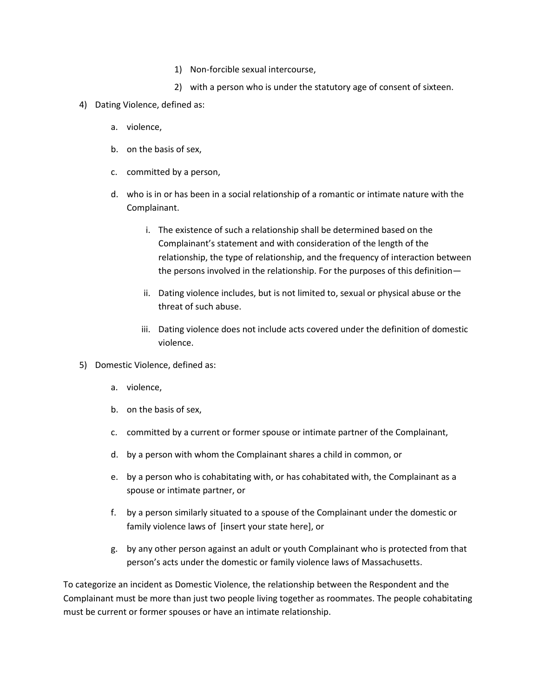- 1) Non-forcible sexual intercourse,
- 2) with a person who is under the statutory age of consent of sixteen.
- 4) Dating Violence, defined as:
	- a. violence,
	- b. on the basis of sex,
	- c. committed by a person,
	- d. who is in or has been in a social relationship of a romantic or intimate nature with the Complainant.
		- i. The existence of such a relationship shall be determined based on the Complainant's statement and with consideration of the length of the relationship, the type of relationship, and the frequency of interaction between the persons involved in the relationship. For the purposes of this definition—
		- ii. Dating violence includes, but is not limited to, sexual or physical abuse or the threat of such abuse.
		- iii. Dating violence does not include acts covered under the definition of domestic violence.
- 5) Domestic Violence, defined as:
	- a. violence,
	- b. on the basis of sex,
	- c. committed by a current or former spouse or intimate partner of the Complainant,
	- d. by a person with whom the Complainant shares a child in common, or
	- e. by a person who is cohabitating with, or has cohabitated with, the Complainant as a spouse or intimate partner, or
	- f. by a person similarly situated to a spouse of the Complainant under the domestic or family violence laws of [insert your state here], or
	- g. by any other person against an adult or youth Complainant who is protected from that person's acts under the domestic or family violence laws of Massachusetts.

To categorize an incident as Domestic Violence, the relationship between the Respondent and the Complainant must be more than just two people living together as roommates. The people cohabitating must be current or former spouses or have an intimate relationship.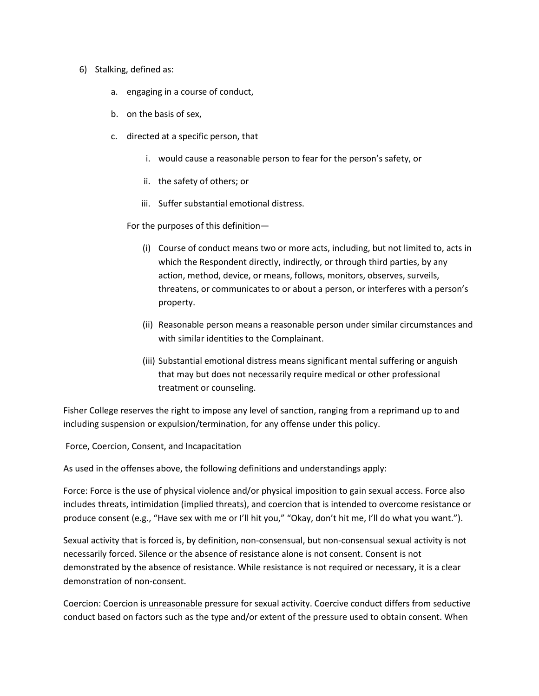- 6) Stalking, defined as:
	- a. engaging in a course of conduct,
	- b. on the basis of sex,
	- c. directed at a specific person, that
		- i. would cause a reasonable person to fear for the person's safety, or
		- ii. the safety of others; or
		- iii. Suffer substantial emotional distress.

For the purposes of this definition—

- (i) Course of conduct means two or more acts, including, but not limited to, acts in which the Respondent directly, indirectly, or through third parties, by any action, method, device, or means, follows, monitors, observes, surveils, threatens, or communicates to or about a person, or interferes with a person's property.
- (ii) Reasonable person means a reasonable person under similar circumstances and with similar identities to the Complainant.
- (iii) Substantial emotional distress means significant mental suffering or anguish that may but does not necessarily require medical or other professional treatment or counseling.

Fisher College reserves the right to impose any level of sanction, ranging from a reprimand up to and including suspension or expulsion/termination, for any offense under this policy.

Force, Coercion, Consent, and Incapacitation

As used in the offenses above, the following definitions and understandings apply:

Force: Force is the use of physical violence and/or physical imposition to gain sexual access. Force also includes threats, intimidation (implied threats), and coercion that is intended to overcome resistance or produce consent (e.g., "Have sex with me or I'll hit you," "Okay, don't hit me, I'll do what you want.").

Sexual activity that is forced is, by definition, non-consensual, but non-consensual sexual activity is not necessarily forced. Silence or the absence of resistance alone is not consent. Consent is not demonstrated by the absence of resistance. While resistance is not required or necessary, it is a clear demonstration of non-consent.

Coercion: Coercion is unreasonable pressure for sexual activity. Coercive conduct differs from seductive conduct based on factors such as the type and/or extent of the pressure used to obtain consent. When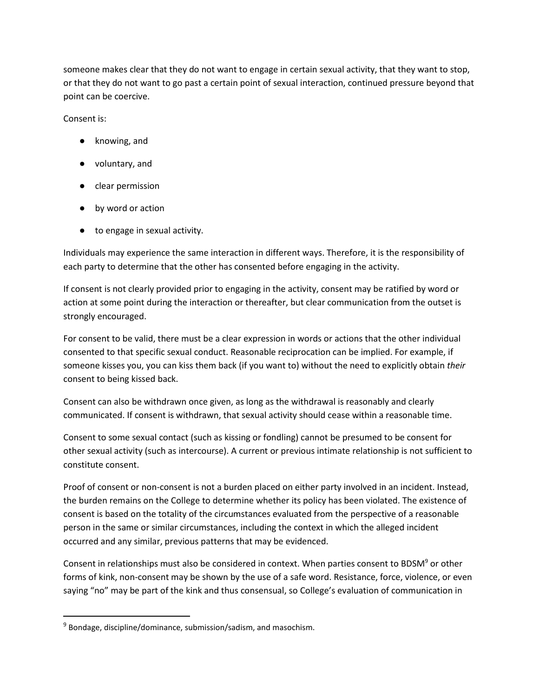someone makes clear that they do not want to engage in certain sexual activity, that they want to stop, or that they do not want to go past a certain point of sexual interaction, continued pressure beyond that point can be coercive.

Consent is:

 $\overline{\phantom{a}}$ 

- knowing, and
- voluntary, and
- clear permission
- by word or action
- to engage in sexual activity.

Individuals may experience the same interaction in different ways. Therefore, it is the responsibility of each party to determine that the other has consented before engaging in the activity.

If consent is not clearly provided prior to engaging in the activity, consent may be ratified by word or action at some point during the interaction or thereafter, but clear communication from the outset is strongly encouraged.

For consent to be valid, there must be a clear expression in words or actions that the other individual consented to that specific sexual conduct. Reasonable reciprocation can be implied. For example, if someone kisses you, you can kiss them back (if you want to) without the need to explicitly obtain *their* consent to being kissed back.

Consent can also be withdrawn once given, as long as the withdrawal is reasonably and clearly communicated. If consent is withdrawn, that sexual activity should cease within a reasonable time.

Consent to some sexual contact (such as kissing or fondling) cannot be presumed to be consent for other sexual activity (such as intercourse). A current or previous intimate relationship is not sufficient to constitute consent.

Proof of consent or non-consent is not a burden placed on either party involved in an incident. Instead, the burden remains on the College to determine whether its policy has been violated. The existence of consent is based on the totality of the circumstances evaluated from the perspective of a reasonable person in the same or similar circumstances, including the context in which the alleged incident occurred and any similar, previous patterns that may be evidenced.

Consent in relationships must also be considered in context. When parties consent to BDSM<sup>9</sup> or other forms of kink, non-consent may be shown by the use of a safe word. Resistance, force, violence, or even saying "no" may be part of the kink and thus consensual, so College's evaluation of communication in

<sup>&</sup>lt;sup>9</sup> Bondage, discipline/dominance, submission/sadism, and masochism.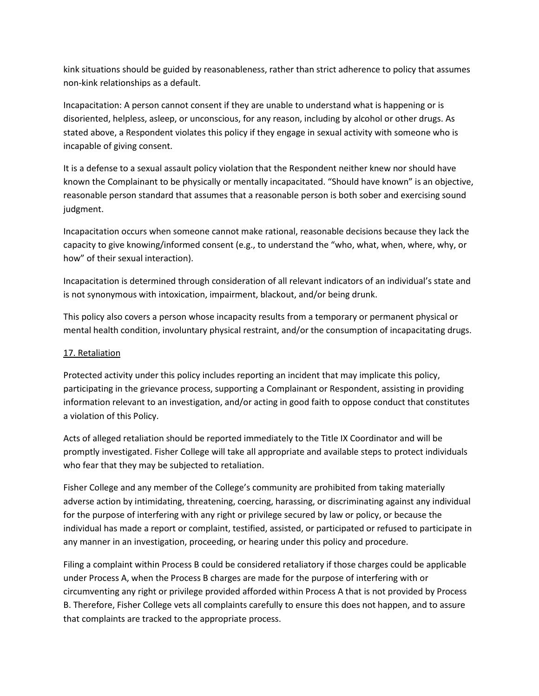kink situations should be guided by reasonableness, rather than strict adherence to policy that assumes non-kink relationships as a default.

Incapacitation: A person cannot consent if they are unable to understand what is happening or is disoriented, helpless, asleep, or unconscious, for any reason, including by alcohol or other drugs. As stated above, a Respondent violates this policy if they engage in sexual activity with someone who is incapable of giving consent.

It is a defense to a sexual assault policy violation that the Respondent neither knew nor should have known the Complainant to be physically or mentally incapacitated. "Should have known" is an objective, reasonable person standard that assumes that a reasonable person is both sober and exercising sound judgment.

Incapacitation occurs when someone cannot make rational, reasonable decisions because they lack the capacity to give knowing/informed consent (e.g., to understand the "who, what, when, where, why, or how" of their sexual interaction).

Incapacitation is determined through consideration of all relevant indicators of an individual's state and is not synonymous with intoxication, impairment, blackout, and/or being drunk.

This policy also covers a person whose incapacity results from a temporary or permanent physical or mental health condition, involuntary physical restraint, and/or the consumption of incapacitating drugs.

## 17. Retaliation

Protected activity under this policy includes reporting an incident that may implicate this policy, participating in the grievance process, supporting a Complainant or Respondent, assisting in providing information relevant to an investigation, and/or acting in good faith to oppose conduct that constitutes a violation of this Policy.

Acts of alleged retaliation should be reported immediately to the Title IX Coordinator and will be promptly investigated. Fisher College will take all appropriate and available steps to protect individuals who fear that they may be subjected to retaliation.

Fisher College and any member of the College's community are prohibited from taking materially adverse action by intimidating, threatening, coercing, harassing, or discriminating against any individual for the purpose of interfering with any right or privilege secured by law or policy, or because the individual has made a report or complaint, testified, assisted, or participated or refused to participate in any manner in an investigation, proceeding, or hearing under this policy and procedure.

Filing a complaint within Process B could be considered retaliatory if those charges could be applicable under Process A, when the Process B charges are made for the purpose of interfering with or circumventing any right or privilege provided afforded within Process A that is not provided by Process B. Therefore, Fisher College vets all complaints carefully to ensure this does not happen, and to assure that complaints are tracked to the appropriate process.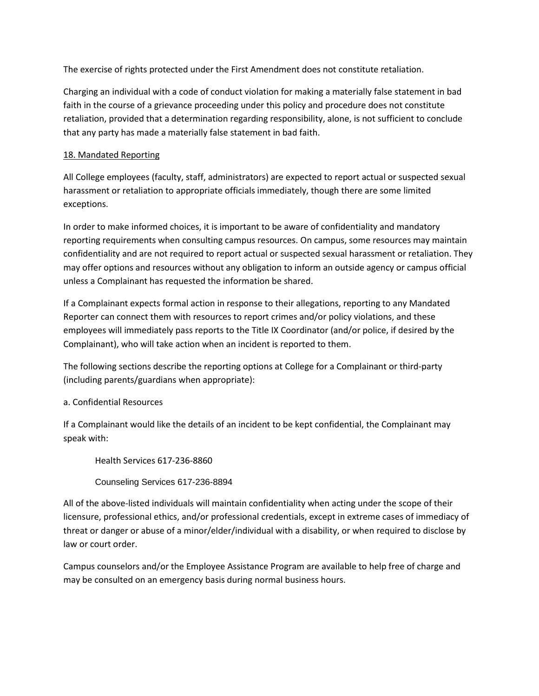The exercise of rights protected under the First Amendment does not constitute retaliation.

Charging an individual with a code of conduct violation for making a materially false statement in bad faith in the course of a grievance proceeding under this policy and procedure does not constitute retaliation, provided that a determination regarding responsibility, alone, is not sufficient to conclude that any party has made a materially false statement in bad faith.

### 18. Mandated Reporting

All College employees (faculty, staff, administrators) are expected to report actual or suspected sexual harassment or retaliation to appropriate officials immediately, though there are some limited exceptions.

In order to make informed choices, it is important to be aware of confidentiality and mandatory reporting requirements when consulting campus resources. On campus, some resources may maintain confidentiality and are not required to report actual or suspected sexual harassment or retaliation. They may offer options and resources without any obligation to inform an outside agency or campus official unless a Complainant has requested the information be shared.

If a Complainant expects formal action in response to their allegations, reporting to any Mandated Reporter can connect them with resources to report crimes and/or policy violations, and these employees will immediately pass reports to the Title IX Coordinator (and/or police, if desired by the Complainant), who will take action when an incident is reported to them.

The following sections describe the reporting options at College for a Complainant or third-party (including parents/guardians when appropriate):

#### a. Confidential Resources

If a Complainant would like the details of an incident to be kept confidential, the Complainant may speak with:

Health Services 617-236-8860

Counseling Services 617-236-8894

All of the above-listed individuals will maintain confidentiality when acting under the scope of their licensure, professional ethics, and/or professional credentials, except in extreme cases of immediacy of threat or danger or abuse of a minor/elder/individual with a disability, or when required to disclose by law or court order.

Campus counselors and/or the Employee Assistance Program are available to help free of charge and may be consulted on an emergency basis during normal business hours.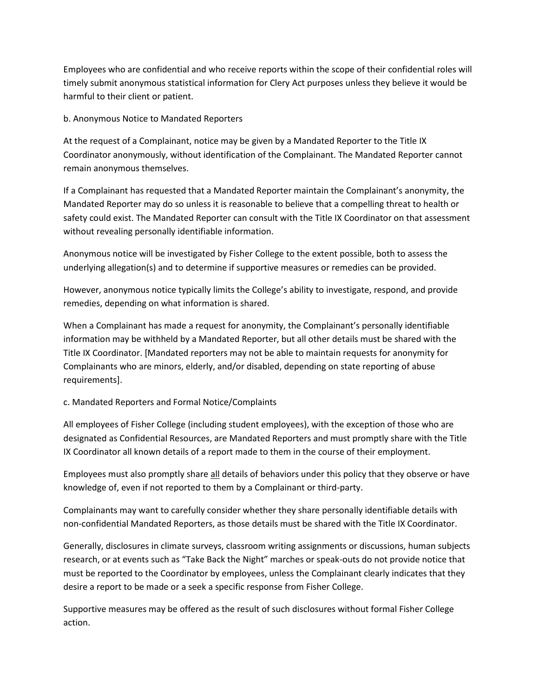Employees who are confidential and who receive reports within the scope of their confidential roles will timely submit anonymous statistical information for Clery Act purposes unless they believe it would be harmful to their client or patient.

#### b. Anonymous Notice to Mandated Reporters

At the request of a Complainant, notice may be given by a Mandated Reporter to the Title IX Coordinator anonymously, without identification of the Complainant. The Mandated Reporter cannot remain anonymous themselves.

If a Complainant has requested that a Mandated Reporter maintain the Complainant's anonymity, the Mandated Reporter may do so unless it is reasonable to believe that a compelling threat to health or safety could exist. The Mandated Reporter can consult with the Title IX Coordinator on that assessment without revealing personally identifiable information.

Anonymous notice will be investigated by Fisher College to the extent possible, both to assess the underlying allegation(s) and to determine if supportive measures or remedies can be provided.

However, anonymous notice typically limits the College's ability to investigate, respond, and provide remedies, depending on what information is shared.

When a Complainant has made a request for anonymity, the Complainant's personally identifiable information may be withheld by a Mandated Reporter, but all other details must be shared with the Title IX Coordinator. [Mandated reporters may not be able to maintain requests for anonymity for Complainants who are minors, elderly, and/or disabled, depending on state reporting of abuse requirements].

## c. Mandated Reporters and Formal Notice/Complaints

All employees of Fisher College (including student employees), with the exception of those who are designated as Confidential Resources, are Mandated Reporters and must promptly share with the Title IX Coordinator all known details of a report made to them in the course of their employment.

Employees must also promptly share all details of behaviors under this policy that they observe or have knowledge of, even if not reported to them by a Complainant or third-party.

Complainants may want to carefully consider whether they share personally identifiable details with non-confidential Mandated Reporters, as those details must be shared with the Title IX Coordinator.

Generally, disclosures in climate surveys, classroom writing assignments or discussions, human subjects research, or at events such as "Take Back the Night" marches or speak-outs do not provide notice that must be reported to the Coordinator by employees, unless the Complainant clearly indicates that they desire a report to be made or a seek a specific response from Fisher College.

Supportive measures may be offered as the result of such disclosures without formal Fisher College action.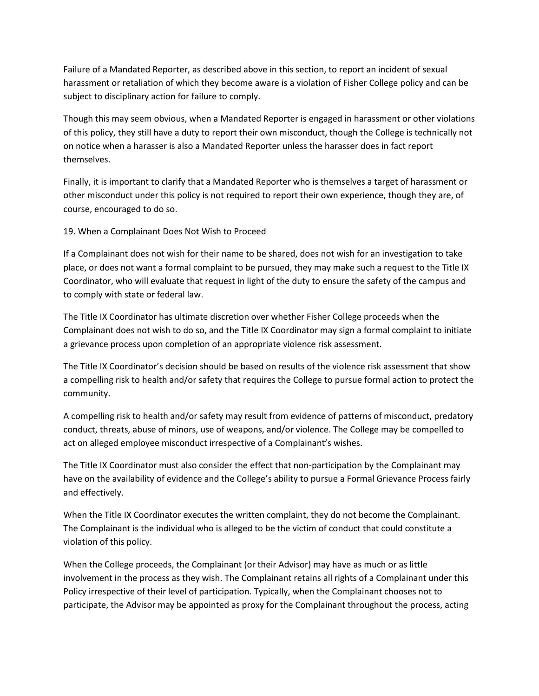Failure of a Mandated Reporter, as described above in this section, to report an incident of sexual harassment or retaliation of which they become aware is a violation of Fisher College policy and can be subject to disciplinary action for failure to comply.

Though this may seem obvious, when a Mandated Reporter is engaged in harassment or other violations of this policy, they still have a duty to report their own misconduct, though the College is technically not on notice when a harasser is also a Mandated Reporter unless the harasser does in fact report themselves.

Finally, it is important to clarify that a Mandated Reporter who is themselves a target of harassment or other misconduct under this policy is not required to report their own experience, though they are, of course, encouraged to do so.

#### 19. When a Complainant Does Not Wish to Proceed

If a Complainant does not wish for their name to be shared, does not wish for an investigation to take place, or does not want a formal complaint to be pursued, they may make such a request to the Title IX Coordinator, who will evaluate that request in light of the duty to ensure the safety of the campus and to comply with state or federal law.

The Title IX Coordinator has ultimate discretion over whether Fisher College proceeds when the Complainant does not wish to do so, and the Title IX Coordinator may sign a formal complaint to initiate a grievance process upon completion of an appropriate violence risk assessment.

The Title IX Coordinator's decision should be based on results of the violence risk assessment that show a compelling risk to health and/or safety that requires the College to pursue formal action to protect the community.

A compelling risk to health and/or safety may result from evidence of patterns of misconduct, predatory conduct, threats, abuse of minors, use of weapons, and/or violence. The College may be compelled to act on alleged employee misconduct irrespective of a Complainant's wishes.

The Title IX Coordinator must also consider the effect that non-participation by the Complainant may have on the availability of evidence and the College's ability to pursue a Formal Grievance Process fairly and effectively.

When the Title IX Coordinator executes the written complaint, they do not become the Complainant. The Complainant is the individual who is alleged to be the victim of conduct that could constitute a violation of this policy.

When the College proceeds, the Complainant (or their Advisor) may have as much or as little involvement in the process as they wish. The Complainant retains all rights of a Complainant under this Policy irrespective of their level of participation. Typically, when the Complainant chooses not to participate, the Advisor may be appointed as proxy for the Complainant throughout the process, acting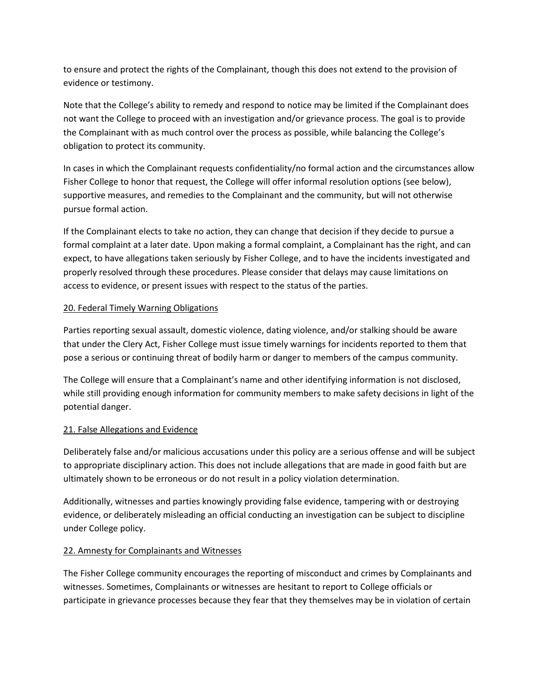to ensure and protect the rights of the Complainant, though this does not extend to the provision of evidence or testimony.

Note that the College's ability to remedy and respond to notice may be limited if the Complainant does not want the College to proceed with an investigation and/or grievance process. The goal is to provide the Complainant with as much control over the process as possible, while balancing the College's obligation to protect its community.

In cases in which the Complainant requests confidentiality/no formal action and the circumstances allow Fisher College to honor that request, the College will offer informal resolution options (see below), supportive measures, and remedies to the Complainant and the community, but will not otherwise pursue formal action.

If the Complainant elects to take no action, they can change that decision if they decide to pursue a formal complaint at a later date. Upon making a formal complaint, a Complainant has the right, and can expect, to have allegations taken seriously by Fisher College, and to have the incidents investigated and properly resolved through these procedures. Please consider that delays may cause limitations on access to evidence, or present issues with respect to the status of the parties.

#### 20. Federal Timely Warning Obligations

Parties reporting sexual assault, domestic violence, dating violence, and/or stalking should be aware that under the Clery Act, Fisher College must issue timely warnings for incidents reported to them that pose a serious or continuing threat of bodily harm or danger to members of the campus community.

The College will ensure that a Complainant's name and other identifying information is not disclosed, while still providing enough information for community members to make safety decisions in light of the potential danger.

## 21. False Allegations and Evidence

Deliberately false and/or malicious accusations under this policy are a serious offense and will be subject to appropriate disciplinary action. This does not include allegations that are made in good faith but are ultimately shown to be erroneous or do not result in a policy violation determination.

Additionally, witnesses and parties knowingly providing false evidence, tampering with or destroying evidence, or deliberately misleading an official conducting an investigation can be subject to discipline under College policy.

## 22. Amnesty for Complainants and Witnesses

The Fisher College community encourages the reporting of misconduct and crimes by Complainants and witnesses. Sometimes, Complainants or witnesses are hesitant to report to College officials or participate in grievance processes because they fear that they themselves may be in violation of certain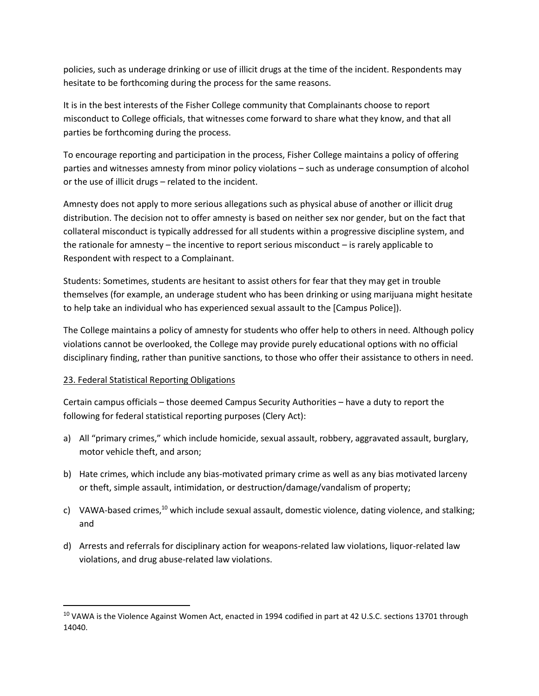policies, such as underage drinking or use of illicit drugs at the time of the incident. Respondents may hesitate to be forthcoming during the process for the same reasons.

It is in the best interests of the Fisher College community that Complainants choose to report misconduct to College officials, that witnesses come forward to share what they know, and that all parties be forthcoming during the process.

To encourage reporting and participation in the process, Fisher College maintains a policy of offering parties and witnesses amnesty from minor policy violations – such as underage consumption of alcohol or the use of illicit drugs – related to the incident.

Amnesty does not apply to more serious allegations such as physical abuse of another or illicit drug distribution. The decision not to offer amnesty is based on neither sex nor gender, but on the fact that collateral misconduct is typically addressed for all students within a progressive discipline system, and the rationale for amnesty – the incentive to report serious misconduct – is rarely applicable to Respondent with respect to a Complainant.

Students: Sometimes, students are hesitant to assist others for fear that they may get in trouble themselves (for example, an underage student who has been drinking or using marijuana might hesitate to help take an individual who has experienced sexual assault to the [Campus Police]).

The College maintains a policy of amnesty for students who offer help to others in need. Although policy violations cannot be overlooked, the College may provide purely educational options with no official disciplinary finding, rather than punitive sanctions, to those who offer their assistance to others in need.

## 23. Federal Statistical Reporting Obligations

 $\overline{a}$ 

Certain campus officials – those deemed Campus Security Authorities – have a duty to report the following for federal statistical reporting purposes (Clery Act):

- a) All "primary crimes," which include homicide, sexual assault, robbery, aggravated assault, burglary, motor vehicle theft, and arson;
- b) Hate crimes, which include any bias-motivated primary crime as well as any bias motivated larceny or theft, simple assault, intimidation, or destruction/damage/vandalism of property;
- c) VAWA-based crimes,<sup>10</sup> which include sexual assault, domestic violence, dating violence, and stalking; and
- d) Arrests and referrals for disciplinary action for weapons-related law violations, liquor-related law violations, and drug abuse-related law violations.

<sup>&</sup>lt;sup>10</sup> VAWA is the Violence Against Women Act, enacted in 1994 codified in part at 42 U.S.C. sections 13701 through 14040.